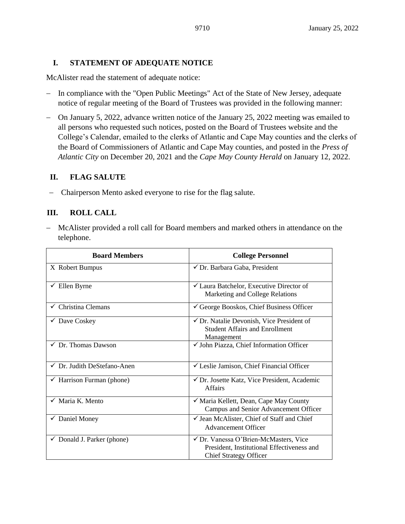#### **I. STATEMENT OF ADEQUATE NOTICE**

McAlister read the statement of adequate notice:

- − In compliance with the "Open Public Meetings" Act of the State of New Jersey, adequate notice of regular meeting of the Board of Trustees was provided in the following manner:
- − On January 5, 2022, advance written notice of the January 25, 2022 meeting was emailed to all persons who requested such notices, posted on the Board of Trustees website and the College's Calendar, emailed to the clerks of Atlantic and Cape May counties and the clerks of the Board of Commissioners of Atlantic and Cape May counties, and posted in the *Press of Atlantic City* on December 20, 2021 and the *Cape May County Herald* on January 12, 2022.

#### **II. FLAG SALUTE**

− Chairperson Mento asked everyone to rise for the flag salute.

### **III. ROLL CALL**

− McAlister provided a roll call for Board members and marked others in attendance on the telephone.

| <b>Board Members</b>                   | <b>College Personnel</b>                                                                                             |  |
|----------------------------------------|----------------------------------------------------------------------------------------------------------------------|--|
| X Robert Bumpus                        | √ Dr. Barbara Gaba, President                                                                                        |  |
| $\checkmark$ Ellen Byrne               | <del></del> <del>∠</del> Laura Batchelor, Executive Director of<br>Marketing and College Relations                   |  |
| $\checkmark$ Christina Clemans         | George Booskos, Chief Business Officer                                                                               |  |
| $\checkmark$ Dave Coskey               | $\checkmark$ Dr. Natalie Devonish, Vice President of<br><b>Student Affairs and Enrollment</b><br>Management          |  |
| $\checkmark$ Dr. Thomas Dawson         | $\checkmark$ John Piazza, Chief Information Officer                                                                  |  |
| $\checkmark$ Dr. Judith DeStefano-Anen | $\checkmark$ Leslie Jamison, Chief Financial Officer                                                                 |  |
| $\checkmark$ Harrison Furman (phone)   | ✔ Dr. Josette Katz, Vice President, Academic<br><b>Affairs</b>                                                       |  |
| $\checkmark$ Maria K. Mento            | √ Maria Kellett, Dean, Cape May County<br>Campus and Senior Advancement Officer                                      |  |
| $\checkmark$ Daniel Money              | $\checkmark$ Jean McAlister, Chief of Staff and Chief<br><b>Advancement Officer</b>                                  |  |
| $\checkmark$ Donald J. Parker (phone)  | √ Dr. Vanessa O'Brien-McMasters, Vice<br>President, Institutional Effectiveness and<br><b>Chief Strategy Officer</b> |  |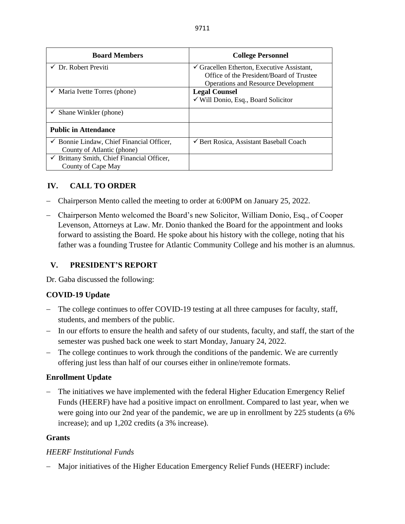| <b>Board Members</b>                                  | <b>College Personnel</b>                              |
|-------------------------------------------------------|-------------------------------------------------------|
| $\checkmark$ Dr. Robert Previti                       | $\checkmark$ Gracellen Etherton, Executive Assistant, |
|                                                       | Office of the President/Board of Trustee              |
|                                                       | <b>Operations and Resource Development</b>            |
| $\checkmark$ Maria Ivette Torres (phone)              | <b>Legal Counsel</b>                                  |
|                                                       | √ Will Donio, Esq., Board Solicitor                   |
| Shane Winkler (phone)<br>$\checkmark$                 |                                                       |
| <b>Public in Attendance</b>                           |                                                       |
| $\checkmark$ Bonnie Lindaw, Chief Financial Officer,  | └ Bert Rosica, Assistant Baseball Coach               |
| County of Atlantic (phone)                            |                                                       |
| $\checkmark$ Brittany Smith, Chief Financial Officer, |                                                       |
| County of Cape May                                    |                                                       |

# **IV. CALL TO ORDER**

- − Chairperson Mento called the meeting to order at 6:00PM on January 25, 2022.
- − Chairperson Mento welcomed the Board's new Solicitor, William Donio, Esq., of Cooper Levenson, Attorneys at Law. Mr. Donio thanked the Board for the appointment and looks forward to assisting the Board. He spoke about his history with the college, noting that his father was a founding Trustee for Atlantic Community College and his mother is an alumnus.

## **V. PRESIDENT'S REPORT**

Dr. Gaba discussed the following:

# **COVID-19 Update**

- − The college continues to offer COVID-19 testing at all three campuses for faculty, staff, students, and members of the public.
- − In our efforts to ensure the health and safety of our students, faculty, and staff, the start of the semester was pushed back one week to start Monday, January 24, 2022.
- − The college continues to work through the conditions of the pandemic. We are currently offering just less than half of our courses either in online/remote formats.

### **Enrollment Update**

− The initiatives we have implemented with the federal Higher Education Emergency Relief Funds (HEERF) have had a positive impact on enrollment. Compared to last year, when we were going into our 2nd year of the pandemic, we are up in enrollment by 225 students (a 6% increase); and up 1,202 credits (a 3% increase).

### **Grants**

### *HEERF Institutional Funds*

− Major initiatives of the Higher Education Emergency Relief Funds (HEERF) include: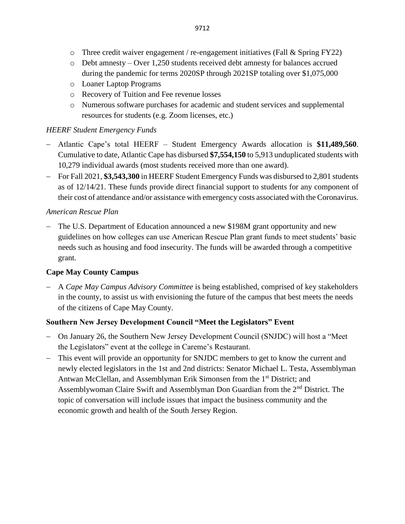- $\circ$  Three credit waiver engagement / re-engagement initiatives (Fall & Spring FY22)
- o Debt amnesty Over 1,250 students received debt amnesty for balances accrued during the pandemic for terms 2020SP through 2021SP totaling over \$1,075,000
- o Loaner Laptop Programs
- o Recovery of Tuition and Fee revenue losses
- o Numerous software purchases for academic and student services and supplemental resources for students (e.g. Zoom licenses, etc.)

#### *HEERF Student Emergency Funds*

- − Atlantic Cape's total HEERF Student Emergency Awards allocation is **\$11,489,560**. Cumulative to date, Atlantic Cape has disbursed **\$7,554,150** to 5,913 unduplicated students with 10,279 individual awards (most students received more than one award).
- − For Fall 2021, **\$3,543,300** in HEERF Student Emergency Funds was disbursed to 2,801 students as of 12/14/21. These funds provide direct financial support to students for any component of their cost of attendance and/or assistance with emergency costs associated with the Coronavirus.

#### *American Rescue Plan*

− The U.S. Department of Education announced a new \$198M grant opportunity and new guidelines on how colleges can use American Rescue Plan grant funds to meet students' basic needs such as housing and food insecurity. The funds will be awarded through a competitive grant.

### **Cape May County Campus**

− A *Cape May Campus Advisory Committee* is being established, comprised of key stakeholders in the county, to assist us with envisioning the future of the campus that best meets the needs of the citizens of Cape May County.

### **Southern New Jersey Development Council "Meet the Legislators" Event**

- − On January 26, the Southern New Jersey Development Council (SNJDC) will host a "Meet the Legislators" event at the college in Careme's Restaurant.
- − This event will provide an opportunity for SNJDC members to get to know the current and newly elected legislators in the 1st and 2nd districts: Senator Michael L. Testa, Assemblyman Antwan McClellan, and Assemblyman Erik Simonsen from the 1<sup>st</sup> District; and Assemblywoman Claire Swift and Assemblyman Don Guardian from the 2<sup>nd</sup> District. The topic of conversation will include issues that impact the business community and the economic growth and health of the South Jersey Region.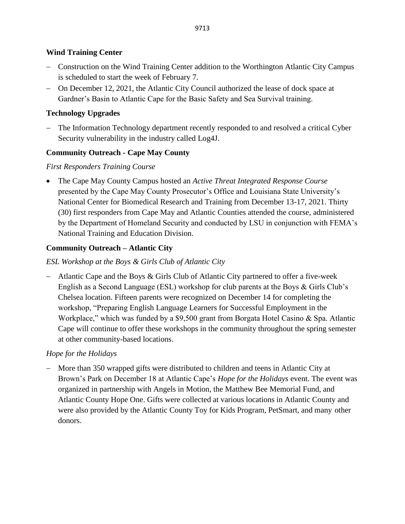## **Wind Training Center**

- − Construction on the Wind Training Center addition to the Worthington Atlantic City Campus is scheduled to start the week of February 7.
- − On December 12, 2021, the Atlantic City Council authorized the lease of dock space at Gardner's Basin to Atlantic Cape for the Basic Safety and Sea Survival training.

## **Technology Upgrades**

− The Information Technology department recently responded to and resolved a critical Cyber Security vulnerability in the industry called Log4J.

## **Community Outreach - Cape May County**

### *First Responders Training Course*

• The Cape May County Campus hosted an *Active Threat Integrated Response Course* presented by the Cape May County Prosecutor's Office and Louisiana State University's National Center for Biomedical Research and Training from December 13-17, 2021. Thirty (30) first responders from Cape May and Atlantic Counties attended the course, administered by the Department of Homeland Security and conducted by LSU in conjunction with FEMA's National Training and Education Division.

## **Community Outreach – Atlantic City**

## *ESL Workshop at the Boys & Girls Club of Atlantic City*

− Atlantic Cape and the Boys & Girls Club of Atlantic City partnered to offer a five-week English as a Second Language (ESL) workshop for club parents at the Boys & Girls Club's Chelsea location. Fifteen parents were recognized on December 14 for completing the workshop, "Preparing English Language Learners for Successful Employment in the Workplace," which was funded by a \$9,500 grant from Borgata Hotel Casino & Spa. Atlantic Cape will continue to offer these workshops in the community throughout the spring semester at other community-based locations.

### *Hope for the Holidays*

− More than 350 wrapped gifts were distributed to children and teens in Atlantic City at Brown's Park on December 18 at Atlantic Cape's *Hope for the Holidays* event. The event was organized in partnership with Angels in Motion, the Matthew Bee Memorial Fund, and Atlantic County Hope One. Gifts were collected at various locations in Atlantic County and were also provided by the Atlantic County Toy for Kids Program, PetSmart, and many other donors.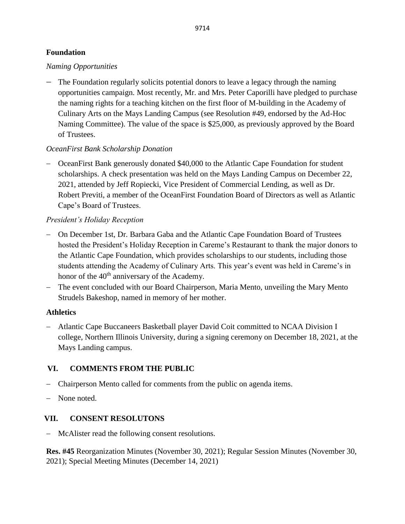### **Foundation**

## *Naming Opportunities*

− The Foundation regularly solicits potential donors to leave a legacy through the naming opportunities campaign. Most recently, Mr. and Mrs. Peter Caporilli have pledged to purchase the naming rights for a teaching kitchen on the first floor of M-building in the Academy of Culinary Arts on the Mays Landing Campus (see Resolution #49, endorsed by the Ad-Hoc Naming Committee). The value of the space is \$25,000, as previously approved by the Board of Trustees.

# *OceanFirst Bank Scholarship Donation*

− OceanFirst Bank generously donated \$40,000 to the Atlantic Cape Foundation for student scholarships. A check presentation was held on the Mays Landing Campus on December 22, 2021, attended by Jeff Ropiecki, Vice President of Commercial Lending, as well as Dr. Robert Previti, a member of the OceanFirst Foundation Board of Directors as well as Atlantic Cape's Board of Trustees.

## *President's Holiday Reception*

- − On December 1st, Dr. Barbara Gaba and the Atlantic Cape Foundation Board of Trustees hosted the President's Holiday Reception in Careme's Restaurant to thank the major donors to the Atlantic Cape Foundation, which provides scholarships to our students, including those students attending the Academy of Culinary Arts. This year's event was held in Careme's in honor of the 40<sup>th</sup> anniversary of the Academy.
- − The event concluded with our Board Chairperson, Maria Mento, unveiling the Mary Mento Strudels Bakeshop, named in memory of her mother.

### **Athletics**

− Atlantic Cape Buccaneers Basketball player David Coit committed to NCAA Division I college, Northern Illinois University, during a signing ceremony on December 18, 2021, at the Mays Landing campus.

# **VI. COMMENTS FROM THE PUBLIC**

- − Chairperson Mento called for comments from the public on agenda items.
- − None noted.

# **VII. CONSENT RESOLUTONS**

McAlister read the following consent resolutions.

**Res. #45** Reorganization Minutes (November 30, 2021); Regular Session Minutes (November 30, 2021); Special Meeting Minutes (December 14, 2021)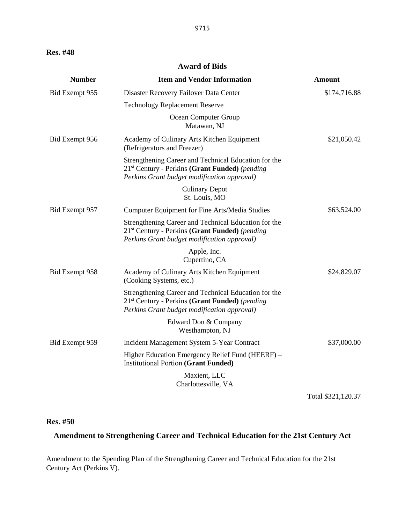#### **Award of Bids**

| <b>Number</b>  | <b>Item and Vendor Information</b>                                                                                                                                | <b>Amount</b> |
|----------------|-------------------------------------------------------------------------------------------------------------------------------------------------------------------|---------------|
| Bid Exempt 955 | Disaster Recovery Failover Data Center                                                                                                                            | \$174,716.88  |
|                | <b>Technology Replacement Reserve</b>                                                                                                                             |               |
|                | Ocean Computer Group<br>Matawan, NJ                                                                                                                               |               |
| Bid Exempt 956 | Academy of Culinary Arts Kitchen Equipment<br>(Refrigerators and Freezer)                                                                                         | \$21,050.42   |
|                | Strengthening Career and Technical Education for the<br>21 <sup>st</sup> Century - Perkins (Grant Funded) (pending<br>Perkins Grant budget modification approval) |               |
|                | <b>Culinary Depot</b><br>St. Louis, MO                                                                                                                            |               |
| Bid Exempt 957 | Computer Equipment for Fine Arts/Media Studies                                                                                                                    | \$63,524.00   |
|                | Strengthening Career and Technical Education for the<br>21 <sup>st</sup> Century - Perkins (Grant Funded) (pending<br>Perkins Grant budget modification approval) |               |
|                | Apple, Inc.<br>Cupertino, CA                                                                                                                                      |               |
| Bid Exempt 958 | Academy of Culinary Arts Kitchen Equipment<br>(Cooking Systems, etc.)                                                                                             | \$24,829.07   |
|                | Strengthening Career and Technical Education for the<br>21 <sup>st</sup> Century - Perkins (Grant Funded) (pending<br>Perkins Grant budget modification approval) |               |
|                | Edward Don & Company<br>Westhampton, NJ                                                                                                                           |               |
| Bid Exempt 959 | Incident Management System 5-Year Contract                                                                                                                        | \$37,000.00   |
|                | Higher Education Emergency Relief Fund (HEERF) –<br><b>Institutional Portion (Grant Funded)</b>                                                                   |               |
|                | Maxient, LLC<br>Charlottesville, VA                                                                                                                               |               |

Total \$321,120.37

#### **Res. #50**

# **Amendment to Strengthening Career and Technical Education for the 21st Century Act**

Amendment to the Spending Plan of the Strengthening Career and Technical Education for the 21st Century Act (Perkins V).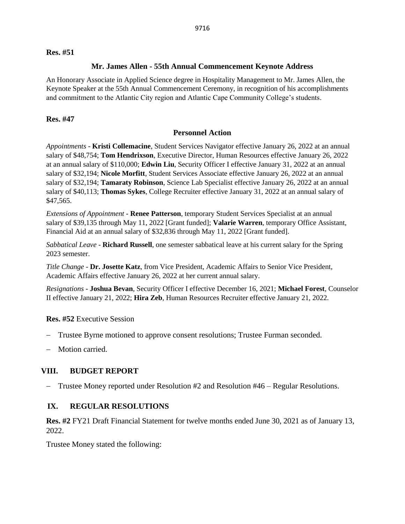#### **Res. #51**

#### **Mr. James Allen - 55th Annual Commencement Keynote Address**

An Honorary Associate in Applied Science degree in Hospitality Management to Mr. James Allen, the Keynote Speaker at the 55th Annual Commencement Ceremony, in recognition of his accomplishments and commitment to the Atlantic City region and Atlantic Cape Community College's students.

#### **Res. #47**

#### **Personnel Action**

*Appointments* - **Kristi Collemacine**, Student Services Navigator effective January 26, 2022 at an annual salary of \$48,754; **Tom Hendrixson**, Executive Director, Human Resources effective January 26, 2022 at an annual salary of \$110,000; **Edwin Liu**, Security Officer I effective January 31, 2022 at an annual salary of \$32,194; **Nicole Morfitt**, Student Services Associate effective January 26, 2022 at an annual salary of \$32,194; **Tamaraty Robinson**, Science Lab Specialist effective January 26, 2022 at an annual salary of \$40,113; **Thomas Sykes**, College Recruiter effective January 31, 2022 at an annual salary of \$47,565.

*Extensions of Appointment* - **Renee Patterson**, temporary Student Services Specialist at an annual salary of \$39,135 through May 11, 2022 [Grant funded]; **Valarie Warren**, temporary Office Assistant, Financial Aid at an annual salary of \$32,836 through May 11, 2022 [Grant funded].

*Sabbatical Leave* - **Richard Russell**, one semester sabbatical leave at his current salary for the Spring 2023 semester.

*Title Change* - **Dr. Josette Katz**, from Vice President, Academic Affairs to Senior Vice President, Academic Affairs effective January 26, 2022 at her current annual salary.

*Resignations* - **Joshua Bevan**, Security Officer I effective December 16, 2021; **Michael Forest**, Counselor II effective January 21, 2022; **Hira Zeb**, Human Resources Recruiter effective January 21, 2022.

**Res. #52** Executive Session

- Trustee Byrne motioned to approve consent resolutions; Trustee Furman seconded.
- Motion carried.

### **VIII. BUDGET REPORT**

− Trustee Money reported under Resolution #2 and Resolution #46 – Regular Resolutions.

#### **IX. REGULAR RESOLUTIONS**

**Res. #2** FY21 Draft Financial Statement for twelve months ended June 30, 2021 as of January 13, 2022.

Trustee Money stated the following: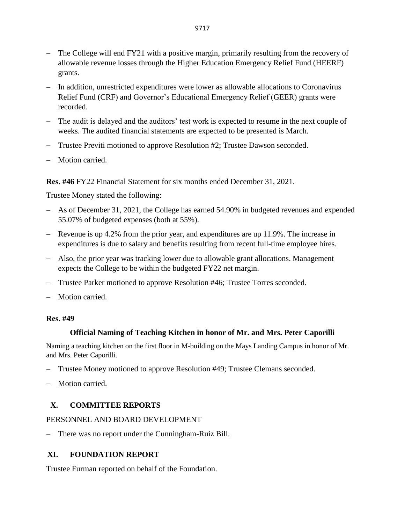- − The College will end FY21 with a positive margin, primarily resulting from the recovery of allowable revenue losses through the Higher Education Emergency Relief Fund (HEERF) grants.
- − In addition, unrestricted expenditures were lower as allowable allocations to Coronavirus Relief Fund (CRF) and Governor's Educational Emergency Relief (GEER) grants were recorded.
- − The audit is delayed and the auditors' test work is expected to resume in the next couple of weeks. The audited financial statements are expected to be presented is March.
- − Trustee Previti motioned to approve Resolution #2; Trustee Dawson seconded.
- − Motion carried.

**Res. #46** FY22 Financial Statement for six months ended December 31, 2021.

Trustee Money stated the following:

- − As of December 31, 2021, the College has earned 54.90% in budgeted revenues and expended 55.07% of budgeted expenses (both at 55%).
- − Revenue is up 4.2% from the prior year, and expenditures are up 11.9%. The increase in expenditures is due to salary and benefits resulting from recent full-time employee hires.
- − Also, the prior year was tracking lower due to allowable grant allocations. Management expects the College to be within the budgeted FY22 net margin.
- − Trustee Parker motioned to approve Resolution #46; Trustee Torres seconded.
- Motion carried.

### **Res. #49**

### **Official Naming of Teaching Kitchen in honor of Mr. and Mrs. Peter Caporilli**

Naming a teaching kitchen on the first floor in M-building on the Mays Landing Campus in honor of Mr. and Mrs. Peter Caporilli.

- − Trustee Money motioned to approve Resolution #49; Trustee Clemans seconded.
- − Motion carried.

# **X. COMMITTEE REPORTS**

### PERSONNEL AND BOARD DEVELOPMENT

− There was no report under the Cunningham-Ruiz Bill.

### **XI. FOUNDATION REPORT**

Trustee Furman reported on behalf of the Foundation.